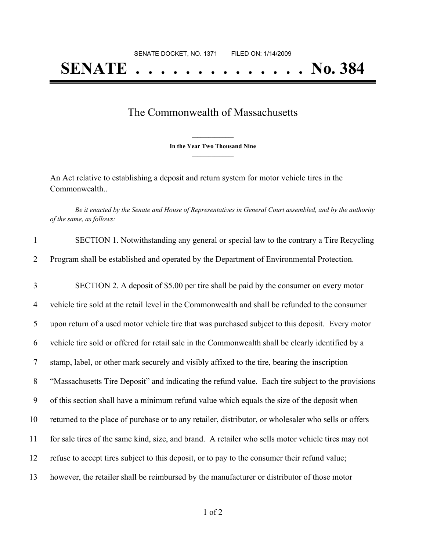## **SENATE . . . . . . . . . . . . . . No. 384**

## The Commonwealth of Massachusetts

**\_\_\_\_\_\_\_\_\_\_\_\_\_\_\_ In the Year Two Thousand Nine \_\_\_\_\_\_\_\_\_\_\_\_\_\_\_**

An Act relative to establishing a deposit and return system for motor vehicle tires in the Commonwealth..

Be it enacted by the Senate and House of Representatives in General Court assembled, and by the authority *of the same, as follows:*

| $\mathbf{1}$   | SECTION 1. Notwithstanding any general or special law to the contrary a Tire Recycling               |
|----------------|------------------------------------------------------------------------------------------------------|
| 2              | Program shall be established and operated by the Department of Environmental Protection.             |
| 3              | SECTION 2. A deposit of \$5.00 per tire shall be paid by the consumer on every motor                 |
| $\overline{4}$ | vehicle tire sold at the retail level in the Commonwealth and shall be refunded to the consumer      |
| 5              | upon return of a used motor vehicle tire that was purchased subject to this deposit. Every motor     |
| 6              | vehicle tire sold or offered for retail sale in the Commonwealth shall be clearly identified by a    |
| $\tau$         | stamp, label, or other mark securely and visibly affixed to the tire, bearing the inscription        |
| 8              | "Massachusetts Tire Deposit" and indicating the refund value. Each tire subject to the provisions    |
| 9              | of this section shall have a minimum refund value which equals the size of the deposit when          |
| 10             | returned to the place of purchase or to any retailer, distributor, or wholesaler who sells or offers |
| 11             | for sale tires of the same kind, size, and brand. A retailer who sells motor vehicle tires may not   |
| 12             | refuse to accept tires subject to this deposit, or to pay to the consumer their refund value;        |
| 13             | however, the retailer shall be reimbursed by the manufacturer or distributor of those motor          |